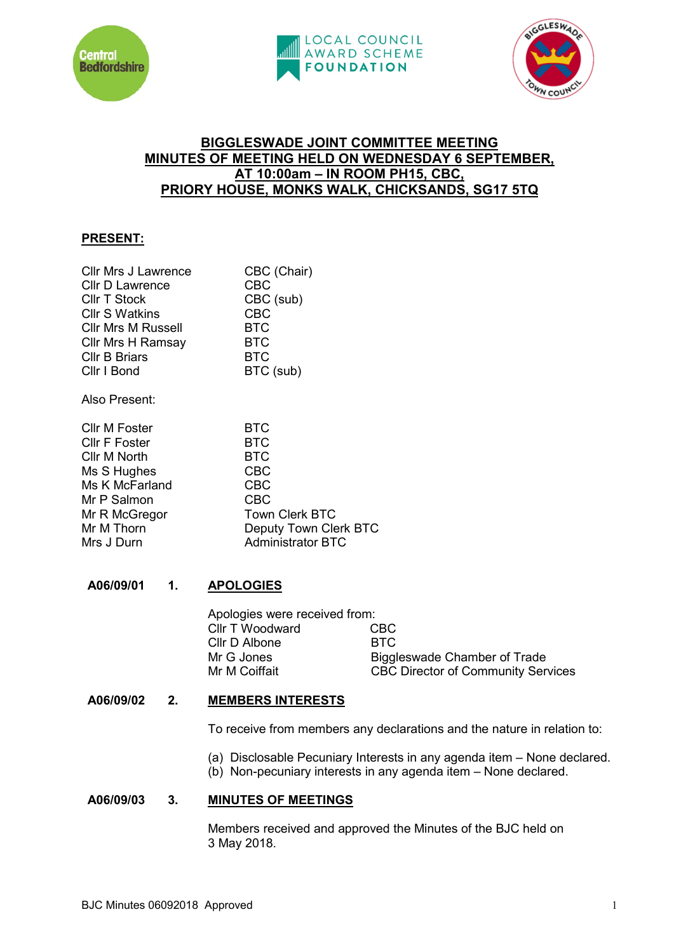





# **BIGGLESWADE JOINT COMMITTEE MEETING MINUTES OF MEETING HELD ON WEDNESDAY 6 SEPTEMBER, AT 10:00am – IN ROOM PH15, CBC, PRIORY HOUSE, MONKS WALK, CHICKSANDS, SG17 5TQ**

# **PRESENT:**

| <b>Cllr Mrs J Lawrence</b> | CBC (Chair) |
|----------------------------|-------------|
| <b>Cllr D Lawrence</b>     | <b>CBC</b>  |
| <b>Cllr T Stock</b>        | CBC (sub)   |
| <b>Cllr S Watkins</b>      | <b>CBC</b>  |
| <b>Cllr Mrs M Russell</b>  | <b>BTC</b>  |
| <b>Cllr Mrs H Ramsay</b>   | <b>BTC</b>  |
| <b>Cllr B Briars</b>       | <b>BTC</b>  |
| Cllr I Bond                | BTC (sub)   |
|                            |             |

Also Present:

| <b>BTC</b>               |
|--------------------------|
| <b>BTC</b>               |
| <b>BTC</b>               |
| <b>CBC</b>               |
| <b>CBC</b>               |
| <b>CBC</b>               |
| <b>Town Clerk BTC</b>    |
| Deputy Town Clerk BTC    |
| <b>Administrator BTC</b> |
|                          |

# **A06/09/01 1. APOLOGIES**

| Apologies were received from: |                                           |
|-------------------------------|-------------------------------------------|
| Cllr T Woodward               | CBC.                                      |
| Cllr D Albone                 | BTC.                                      |
| Mr G Jones                    | Biggleswade Chamber of Trade              |
| Mr M Coiffait                 | <b>CBC Director of Community Services</b> |
|                               |                                           |

# **A06/09/02 2. MEMBERS INTERESTS**

To receive from members any declarations and the nature in relation to:

- (a) Disclosable Pecuniary Interests in any agenda item None declared.
- (b) Non-pecuniary interests in any agenda item None declared.

## **A06/09/03 3. MINUTES OF MEETINGS**

Members received and approved the Minutes of the BJC held on 3 May 2018.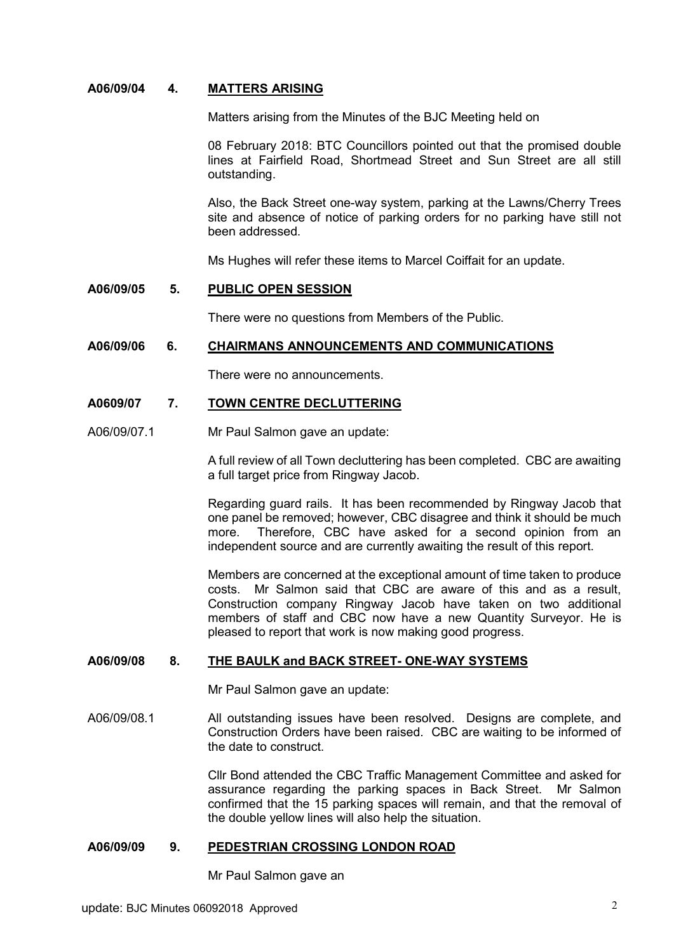## **A06/09/04 4. MATTERS ARISING**

Matters arising from the Minutes of the BJC Meeting held on

08 February 2018: BTC Councillors pointed out that the promised double lines at Fairfield Road, Shortmead Street and Sun Street are all still outstanding.

Also, the Back Street one-way system, parking at the Lawns/Cherry Trees site and absence of notice of parking orders for no parking have still not been addressed.

Ms Hughes will refer these items to Marcel Coiffait for an update.

#### **A06/09/05 5. PUBLIC OPEN SESSION**

There were no questions from Members of the Public.

### **A06/09/06 6. CHAIRMANS ANNOUNCEMENTS AND COMMUNICATIONS**

There were no announcements.

#### **A0609/07 7. TOWN CENTRE DECLUTTERING**

A06/09/07.1 Mr Paul Salmon gave an update:

A full review of all Town decluttering has been completed. CBC are awaiting a full target price from Ringway Jacob.

Regarding guard rails. It has been recommended by Ringway Jacob that one panel be removed; however, CBC disagree and think it should be much more. Therefore, CBC have asked for a second opinion from an independent source and are currently awaiting the result of this report.

Members are concerned at the exceptional amount of time taken to produce costs. Mr Salmon said that CBC are aware of this and as a result, Construction company Ringway Jacob have taken on two additional members of staff and CBC now have a new Quantity Surveyor. He is pleased to report that work is now making good progress.

# **A06/09/08 8. THE BAULK and BACK STREET- ONE-WAY SYSTEMS**

Mr Paul Salmon gave an update:

A06/09/08.1 All outstanding issues have been resolved. Designs are complete, and Construction Orders have been raised. CBC are waiting to be informed of the date to construct.

> Cllr Bond attended the CBC Traffic Management Committee and asked for assurance regarding the parking spaces in Back Street. Mr Salmon confirmed that the 15 parking spaces will remain, and that the removal of the double yellow lines will also help the situation.

### **A06/09/09 9. PEDESTRIAN CROSSING LONDON ROAD**

Mr Paul Salmon gave an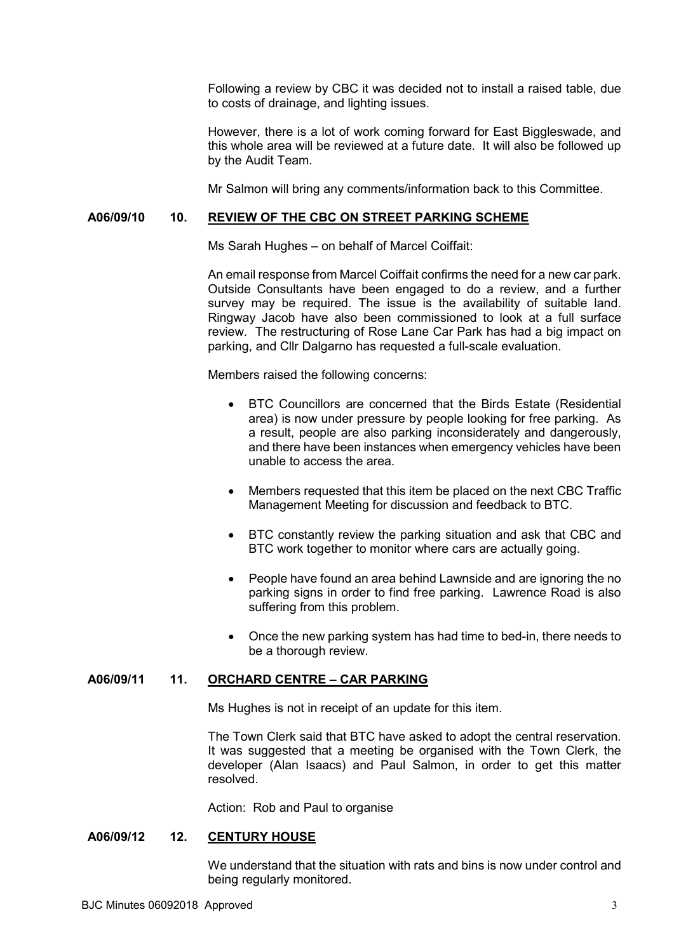Following a review by CBC it was decided not to install a raised table, due to costs of drainage, and lighting issues.

However, there is a lot of work coming forward for East Biggleswade, and this whole area will be reviewed at a future date. It will also be followed up by the Audit Team.

Mr Salmon will bring any comments/information back to this Committee.

### **A06/09/10 10. REVIEW OF THE CBC ON STREET PARKING SCHEME**

Ms Sarah Hughes – on behalf of Marcel Coiffait:

An email response from Marcel Coiffait confirms the need for a new car park. Outside Consultants have been engaged to do a review, and a further survey may be required. The issue is the availability of suitable land. Ringway Jacob have also been commissioned to look at a full surface review. The restructuring of Rose Lane Car Park has had a big impact on parking, and Cllr Dalgarno has requested a full-scale evaluation.

Members raised the following concerns:

- BTC Councillors are concerned that the Birds Estate (Residential area) is now under pressure by people looking for free parking. As a result, people are also parking inconsiderately and dangerously, and there have been instances when emergency vehicles have been unable to access the area.
- Members requested that this item be placed on the next CBC Traffic Management Meeting for discussion and feedback to BTC.
- BTC constantly review the parking situation and ask that CBC and BTC work together to monitor where cars are actually going.
- People have found an area behind Lawnside and are ignoring the no parking signs in order to find free parking. Lawrence Road is also suffering from this problem.
- Once the new parking system has had time to bed-in, there needs to be a thorough review.

## **A06/09/11 11. ORCHARD CENTRE – CAR PARKING**

Ms Hughes is not in receipt of an update for this item.

The Town Clerk said that BTC have asked to adopt the central reservation. It was suggested that a meeting be organised with the Town Clerk, the developer (Alan Isaacs) and Paul Salmon, in order to get this matter resolved.

Action: Rob and Paul to organise

## **A06/09/12 12. CENTURY HOUSE**

We understand that the situation with rats and bins is now under control and being regularly monitored.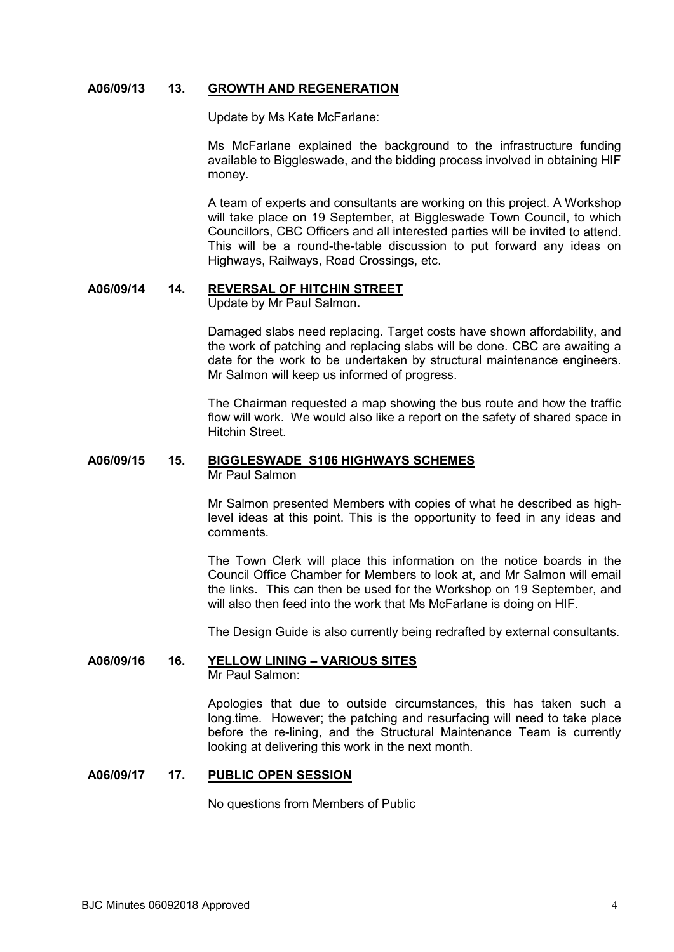## **A06/09/13 13. GROWTH AND REGENERATION**

Update by Ms Kate McFarlane:

Ms McFarlane explained the background to the infrastructure funding available to Biggleswade, and the bidding process involved in obtaining HIF money.

A team of experts and consultants are working on this project. A Workshop will take place on 19 September, at Biggleswade Town Council, to which Councillors, CBC Officers and all interested parties will be invited to attend. This will be a round-the-table discussion to put forward any ideas on Highways, Railways, Road Crossings, etc.

# **A06/09/14 14. REVERSAL OF HITCHIN STREET**

Update by Mr Paul Salmon**.** 

Damaged slabs need replacing. Target costs have shown affordability, and the work of patching and replacing slabs will be done. CBC are awaiting a date for the work to be undertaken by structural maintenance engineers. Mr Salmon will keep us informed of progress.

The Chairman requested a map showing the bus route and how the traffic flow will work. We would also like a report on the safety of shared space in Hitchin Street.

# **A06/09/15 15. BIGGLESWADE S106 HIGHWAYS SCHEMES**

Mr Paul Salmon

Mr Salmon presented Members with copies of what he described as highlevel ideas at this point. This is the opportunity to feed in any ideas and comments.

The Town Clerk will place this information on the notice boards in the Council Office Chamber for Members to look at, and Mr Salmon will email the links. This can then be used for the Workshop on 19 September, and will also then feed into the work that Ms McFarlane is doing on HIF.

The Design Guide is also currently being redrafted by external consultants.

### **A06/09/16 16. YELLOW LINING – VARIOUS SITES** Mr Paul Salmon:

Apologies that due to outside circumstances, this has taken such a long.time. However; the patching and resurfacing will need to take place before the re-lining, and the Structural Maintenance Team is currently looking at delivering this work in the next month.

### **A06/09/17 17. PUBLIC OPEN SESSION**

No questions from Members of Public